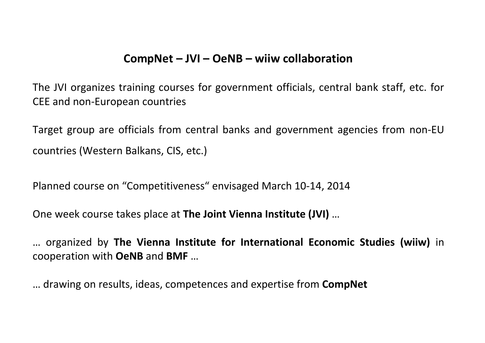## **CompNet – JVI – OeNB – wiiw collaboration**

The JVI organizes training courses for government officials, central bank staff, etc. for CEE and non-European countries

Target group are officials from central banks and government agencies from non-EU countries (Western Balkans, CIS, etc.)

Planned course on "Competitiveness" envisaged March 10-14, 2014

One week course takes place at **The Joint Vienna Institute (JVI)** …

… organized by **The Vienna Institute for International Economic Studies (wiiw)** in cooperation with **OeNB** and **BMF** …

… drawing on results, ideas, competences and expertise from **CompNet**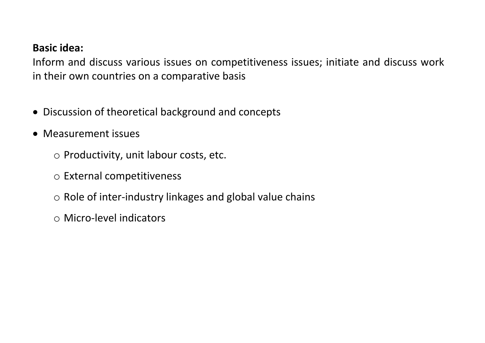## **Basic idea:**

Inform and discuss various issues on competitiveness issues; initiate and discuss work in their own countries on a comparative basis

- Discussion of theoretical background and concepts
- Measurement issues
	- o Productivity, unit labour costs, etc.
	- o External competitiveness
	- o Role of inter-industry linkages and global value chains
	- o Micro-level indicators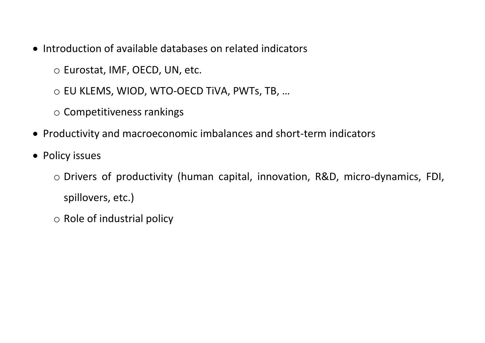- Introduction of available databases on related indicators
	- o Eurostat, IMF, OECD, UN, etc.
	- o EU KLEMS, WIOD, WTO-OECD TiVA, PWTs, TB, …
	- o Competitiveness rankings
- Productivity and macroeconomic imbalances and short-term indicators
- Policy issues
	- o Drivers of productivity (human capital, innovation, R&D, micro-dynamics, FDI, spillovers, etc.)
	- o Role of industrial policy